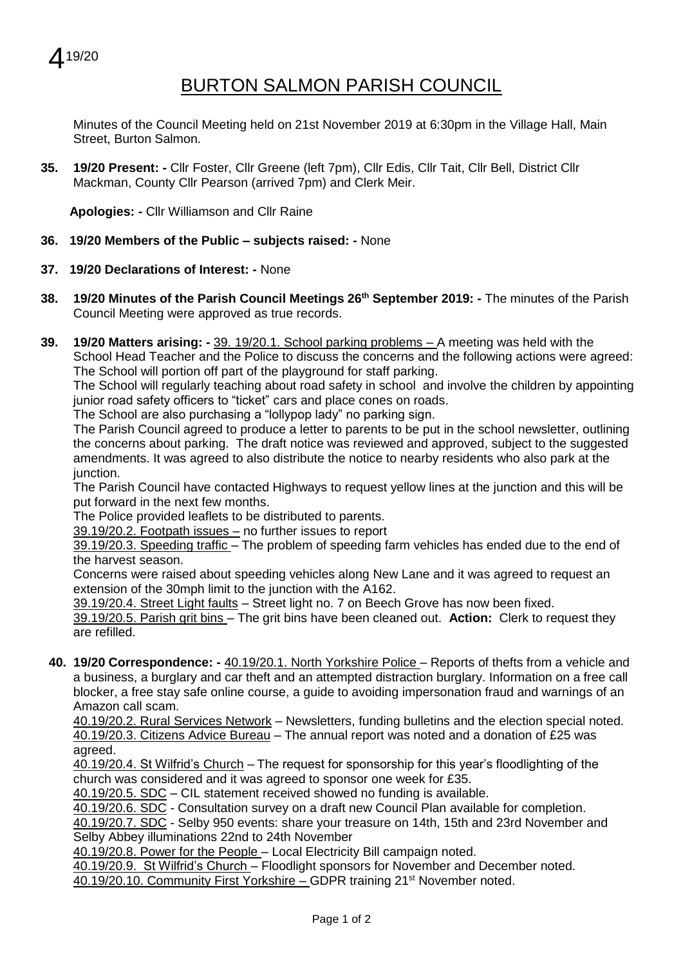$419/20$ 

## BURTON SALMON PARISH COUNCIL

Minutes of the Council Meeting held on 21st November 2019 at 6:30pm in the Village Hall, Main Street, Burton Salmon.

**35. 19/20 Present: -** Cllr Foster, Cllr Greene (left 7pm), Cllr Edis, Cllr Tait, Cllr Bell, District Cllr Mackman, County Cllr Pearson (arrived 7pm) and Clerk Meir.

**Apologies: -** Cllr Williamson and Cllr Raine

- **36. 19/20 Members of the Public – subjects raised: -** None
- **37. 19/20 Declarations of Interest: -** None
- **38. 19/20 Minutes of the Parish Council Meetings 26th September 2019: -** The minutes of the Parish Council Meeting were approved as true records.
- **39. 19/20 Matters arising: -** 39. 19/20.1. School parking problems A meeting was held with the School Head Teacher and the Police to discuss the concerns and the following actions were agreed: The School will portion off part of the playground for staff parking.

The School will regularly teaching about road safety in school and involve the children by appointing junior road safety officers to "ticket" cars and place cones on roads.

The School are also purchasing a "lollypop lady" no parking sign.

The Parish Council agreed to produce a letter to parents to be put in the school newsletter, outlining the concerns about parking. The draft notice was reviewed and approved, subject to the suggested amendments. It was agreed to also distribute the notice to nearby residents who also park at the junction.

The Parish Council have contacted Highways to request yellow lines at the junction and this will be put forward in the next few months.

The Police provided leaflets to be distributed to parents.

39.19/20.2. Footpath issues – no further issues to report

39.19/20.3. Speeding traffic – The problem of speeding farm vehicles has ended due to the end of the harvest season.

Concerns were raised about speeding vehicles along New Lane and it was agreed to request an extension of the 30mph limit to the junction with the A162.

39.19/20.4. Street Light faults – Street light no. 7 on Beech Grove has now been fixed.

39.19/20.5. Parish grit bins – The grit bins have been cleaned out. **Action:** Clerk to request they are refilled.

**40. 19/20 Correspondence: -** 40.19/20.1. North Yorkshire Police – Reports of thefts from a vehicle and a business, a burglary and car theft and an attempted distraction burglary. Information on a free call blocker, a free stay safe online course, a guide to avoiding impersonation fraud and warnings of an Amazon call scam.

40.19/20.2. Rural Services Network – Newsletters, funding bulletins and the election special noted. 40.19/20.3. Citizens Advice Bureau – The annual report was noted and a donation of £25 was agreed.

40.19/20.4. St Wilfrid's Church – The request for sponsorship for this year's floodlighting of the church was considered and it was agreed to sponsor one week for £35.

40.19/20.5. SDC – CIL statement received showed no funding is available.

40.19/20.6. SDC - Consultation survey on a draft new Council Plan available for completion.

40.19/20.7. SDC - Selby 950 events: share your treasure on 14th, 15th and 23rd November and Selby Abbey illuminations 22nd to 24th November

40.19/20.8. Power for the People – Local Electricity Bill campaign noted.

40.19/20.9. St Wilfrid's Church – Floodlight sponsors for November and December noted. 40.19/20.10. Community First Yorkshire - GDPR training 21<sup>st</sup> November noted.